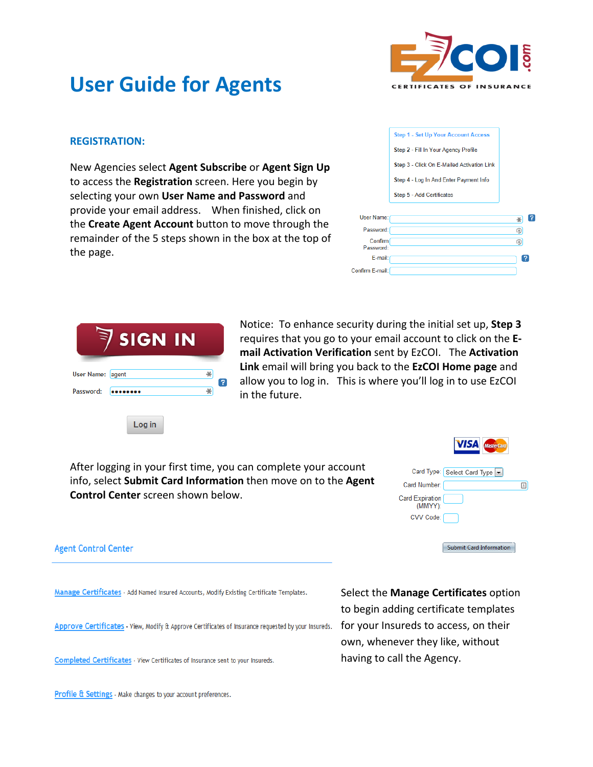

## **User Guide for Agents**

## **REGISTRATION:**

New Agencies select **Agent Subscribe** or **Agent Sign Up** to access the **Registration** screen. Here you begin by selecting your own User Name and Password and provide your email address. When finished, click on the **Create Agent Account** button to move through the remainder of the 5 steps shown in the box at the top of the page.

|                      | <b>Step 1 - Set Up Your Account Access</b> |   |   |
|----------------------|--------------------------------------------|---|---|
|                      | Step 2 - Fill In Your Agency Profile       |   |   |
|                      | Step 3 - Click On E-Mailed Activation Link |   |   |
|                      | Step 4 - Log In And Enter Payment Info     |   |   |
|                      | Step 5 - Add Certificates                  |   |   |
|                      |                                            |   |   |
| User Name:           |                                            | ⋇ |   |
| Password:            |                                            | ⊕ |   |
| Confirm<br>Password: |                                            | ⊛ |   |
| E-mail:              |                                            |   | 7 |
| ifirm E-mail:        |                                            |   |   |



Notice: To enhance security during the initial set up, Step 3 requires that you go to your email account to click on the **Email Activation Verification** sent by EzCOI. The Activation Link email will bring you back to the EzCOI Home page and allow you to log in. This is where you'll log in to use EzCOI in the future.

Cor

After logging in your first time, you can complete your account info, select **Submit Card Information** then move on to the **Agent Control Center** screen shown below.

|                                   | Card Type: Select Card Type    |  |
|-----------------------------------|--------------------------------|--|
| Card Number:                      |                                |  |
| <b>Card Expiration</b><br>(MMYY): |                                |  |
| CVV Code:                         |                                |  |
|                                   |                                |  |
|                                   | <b>Submit Card Information</b> |  |

**VISA** MASTER

**Agent Control Center** 

Manage Certificates - Add Named Insured Accounts, Modify Existing Certificate Templates.

Approve Certificates - View, Modify & Approve Certificates of Insurance requested by your Insureds.

Completed Certificates - View Certificates of Insurance sent to your Insureds.

**Select the Manage Certificates** option to begin adding certificate templates for your Insureds to access, on their own, whenever they like, without having to call the Agency.

Profile & Settings - Make changes to your account preferences.